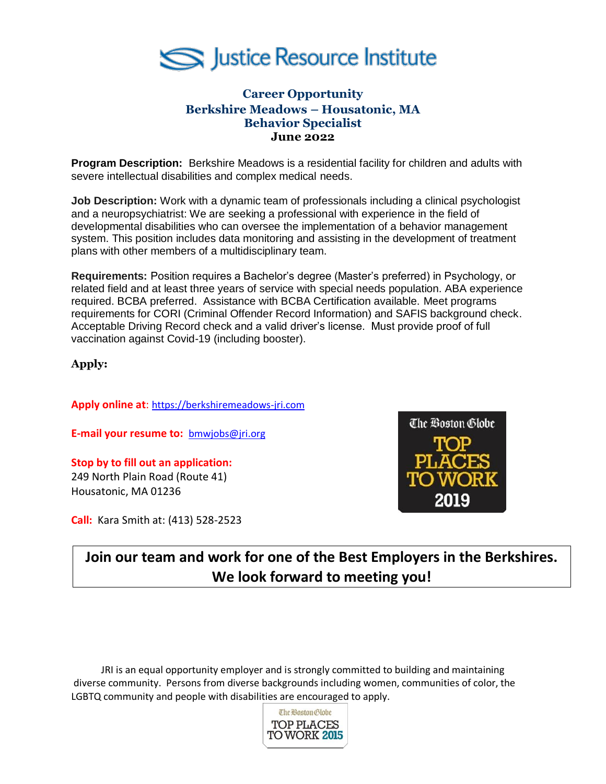

## **Career Opportunity Berkshire Meadows – Housatonic, MA Behavior Specialist June 2022**

**Program Description:** Berkshire Meadows is a residential facility for children and adults with severe intellectual disabilities and complex medical needs.

**Job Description:** Work with a dynamic team of professionals including a clinical psychologist and a neuropsychiatrist: We are seeking a professional with experience in the field of developmental disabilities who can oversee the implementation of a behavior management system. This position includes data monitoring and assisting in the development of treatment plans with other members of a multidisciplinary team.

**Requirements:** Position requires a Bachelor's degree (Master's preferred) in Psychology, or related field and at least three years of service with special needs population. ABA experience required. BCBA preferred. Assistance with BCBA Certification available. Meet programs requirements for CORI (Criminal Offender Record Information) and SAFIS background check. Acceptable Driving Record check and a valid driver's license. Must provide proof of full vaccination against Covid-19 (including booster).

**Apply:**

**Apply online at**: [https://berkshiremeadows-jri.com](https://berkshiremeadows-jri.com/)

**E-mail your resume to:** [bmwjobs@jri.org](mailto:bmwjobs@jri.org)

**Stop by to fill out an application:** 249 North Plain Road (Route 41) Housatonic, MA 01236

**Call:** Kara Smith at: (413) 528-2523



**Join our team and work for one of the Best Employers in the Berkshires. We look forward to meeting you!**

JRI is an equal opportunity employer and is strongly committed to building and maintaining diverse community. Persons from diverse backgrounds including women, communities of color, the LGBTQ community and people with disabilities are encouraged to apply.